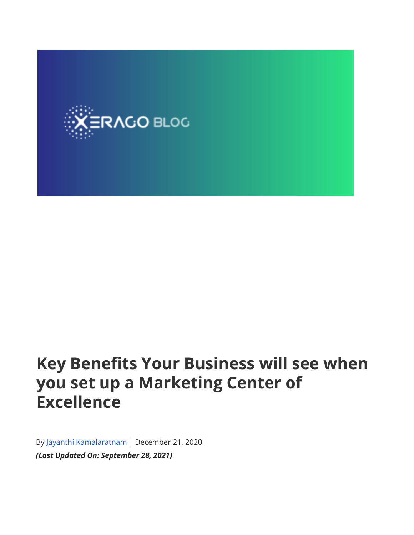

# **Key Benefits Your Business will see when you set up a Marketing Center of Excellence**

By Jayanthi [Kamalaratnam](https://www.xerago.com/blog/author/jayanthi/) | December 21, 2020 *(Last Updated On: September 28, 2021)*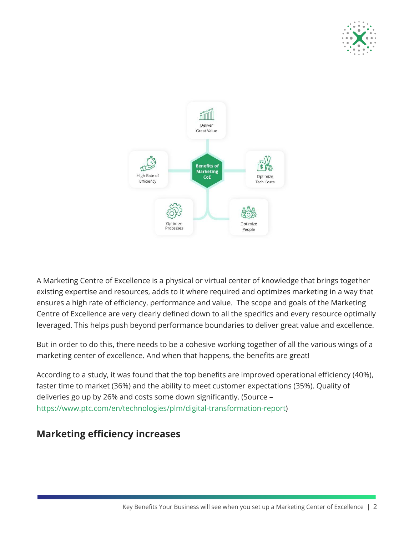



A Marketing Centre of Excellence is a physical or virtual center of knowledge that brings together existing expertise and resources, adds to it where required and optimizes marketing in a way that ensures a high rate of efficiency, performance and value. The scope and goals of the Marketing Centre of Excellence are very clearly defined down to all the specifics and every resource optimally leveraged. This helps push beyond performance boundaries to deliver great value and excellence.

But in order to do this, there needs to be a cohesive working together of all the various wings of a marketing center of excellence. And when that happens, the benefits are great!

According to a study, it was found that the top benefits are improved operational efficiency (40%), faster time to market (36%) and the ability to meet customer expectations (35%). Quality of deliveries go up by 26% and costs some down significantly. (Source – [https://www.ptc.com/en/technologies/plm/digital-transformation-report\)](https://www.ptc.com/en/technologies/plm/digital-transformation-report)

## **Marketing efficiency increases**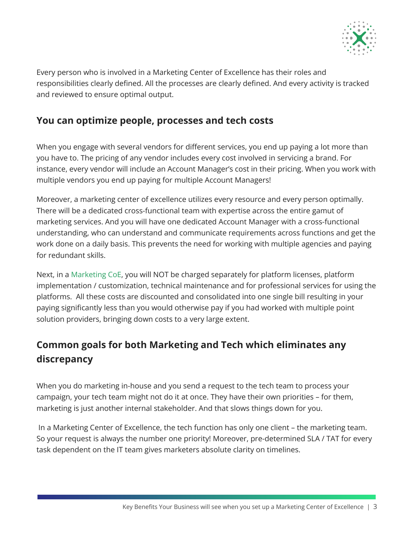

Every person who is involved in a Marketing Center of Excellence has their roles and responsibilities clearly defined. All the processes are clearly defined. And every activity is tracked and reviewed to ensure optimal output.

#### **You can optimize people, processes and tech costs**

When you engage with several vendors for different services, you end up paying a lot more than you have to. The pricing of any vendor includes every cost involved in servicing a brand. For instance, every vendor will include an Account Manager's cost in their pricing. When you work with multiple vendors you end up paying for multiple Account Managers!

Moreover, a marketing center of excellence utilizes every resource and every person optimally. There will be a dedicated cross-functional team with expertise across the entire gamut of marketing services. And you will have one dedicated Account Manager with a cross-functional understanding, who can understand and communicate requirements across functions and get the work done on a daily basis. This prevents the need for working with multiple agencies and paying for redundant skills.

Next, in a [Marketing](https://www.xerago.com/marketing-coe/) CoE, you will NOT be charged separately for platform licenses, platform implementation / customization, technical maintenance and for professional services for using the platforms. All these costs are discounted and consolidated into one single bill resulting in your paying significantly less than you would otherwise pay if you had worked with multiple point solution providers, bringing down costs to a very large extent.

## **Common goals for both Marketing and Tech which eliminates any discrepancy**

When you do marketing in-house and you send a request to the tech team to process your campaign, your tech team might not do it at once. They have their own priorities – for them, marketing is just another internal stakeholder. And that slows things down for you.

In a Marketing Center of Excellence, the tech function has only one client – the marketing team. So your request is always the number one priority! Moreover, pre-determined SLA / TAT for every task dependent on the IT team gives marketers absolute clarity on timelines.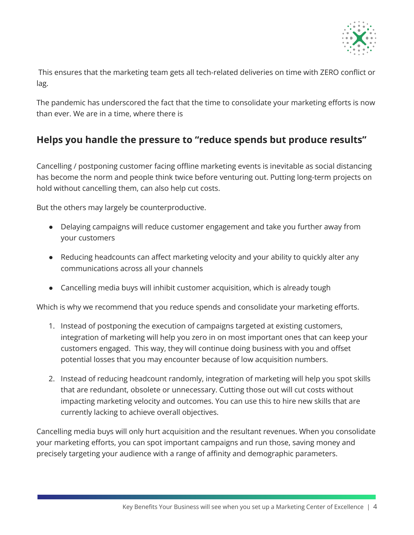

This ensures that the marketing team gets all tech-related deliveries on time with ZERO conflict or lag.

The pandemic has underscored the fact that the time to consolidate your marketing efforts is now than ever. We are in a time, where there is

## **Helps you handle the pressure to "reduce spends but produce results"**

Cancelling / postponing customer facing offline marketing events is inevitable as social distancing has become the norm and people think twice before venturing out. Putting long-term projects on hold without cancelling them, can also help cut costs.

But the others may largely be counterproductive.

- Delaying campaigns will reduce customer engagement and take you further away from your customers
- Reducing headcounts can affect marketing velocity and your ability to quickly alter any communications across all your channels
- Cancelling media buys will inhibit customer acquisition, which is already tough

Which is why we recommend that you reduce spends and consolidate your marketing efforts.

- 1. Instead of postponing the execution of campaigns targeted at existing customers, integration of marketing will help you zero in on most important ones that can keep your customers engaged. This way, they will continue doing business with you and offset potential losses that you may encounter because of low acquisition numbers.
- 2. Instead of reducing headcount randomly, integration of marketing will help you spot skills that are redundant, obsolete or unnecessary. Cutting those out will cut costs without impacting marketing velocity and outcomes. You can use this to hire new skills that are currently lacking to achieve overall objectives.

Cancelling media buys will only hurt acquisition and the resultant revenues. When you consolidate your marketing efforts, you can spot important campaigns and run those, saving money and precisely targeting your audience with a range of affinity and demographic parameters.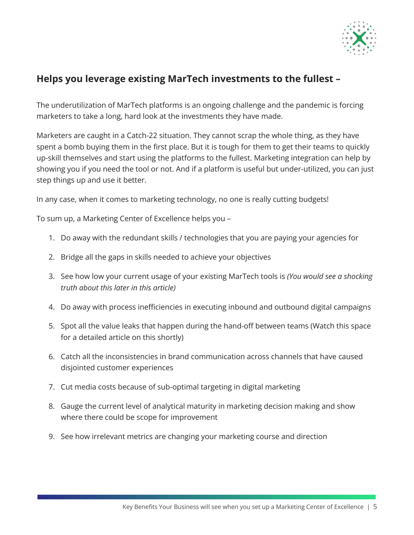

## **Helps you leverage existing MarTech investments to the fullest –**

The underutilization of MarTech platforms is an ongoing challenge and the pandemic is forcing marketers to take a long, hard look at the investments they have made.

Marketers are caught in a Catch-22 situation. They cannot scrap the whole thing, as they have spent a bomb buying them in the first place. But it is tough for them to get their teams to quickly up-skill themselves and start using the platforms to the fullest. Marketing integration can help by showing you if you need the tool or not. And if a platform is useful but under-utilized, you can just step things up and use it better.

In any case, when it comes to marketing technology, no one is really cutting budgets!

To sum up, a Marketing Center of Excellence helps you –

- 1. Do away with the redundant skills / technologies that you are paying your agencies for
- 2. Bridge all the gaps in skills needed to achieve your objectives
- 3. See how low your current usage of your existing MarTech tools is *(You would see a shocking truth about this later in this article)*
- 4. Do away with process inefficiencies in executing inbound and outbound digital campaigns
- 5. Spot all the value leaks that happen during the hand-off between teams (Watch this space for a detailed article on this shortly)
- 6. Catch all the inconsistencies in brand communication across channels that have caused disjointed customer experiences
- 7. Cut media costs because of sub-optimal targeting in digital marketing
- 8. Gauge the current level of analytical maturity in marketing decision making and show where there could be scope for improvement
- 9. See how irrelevant metrics are changing your marketing course and direction